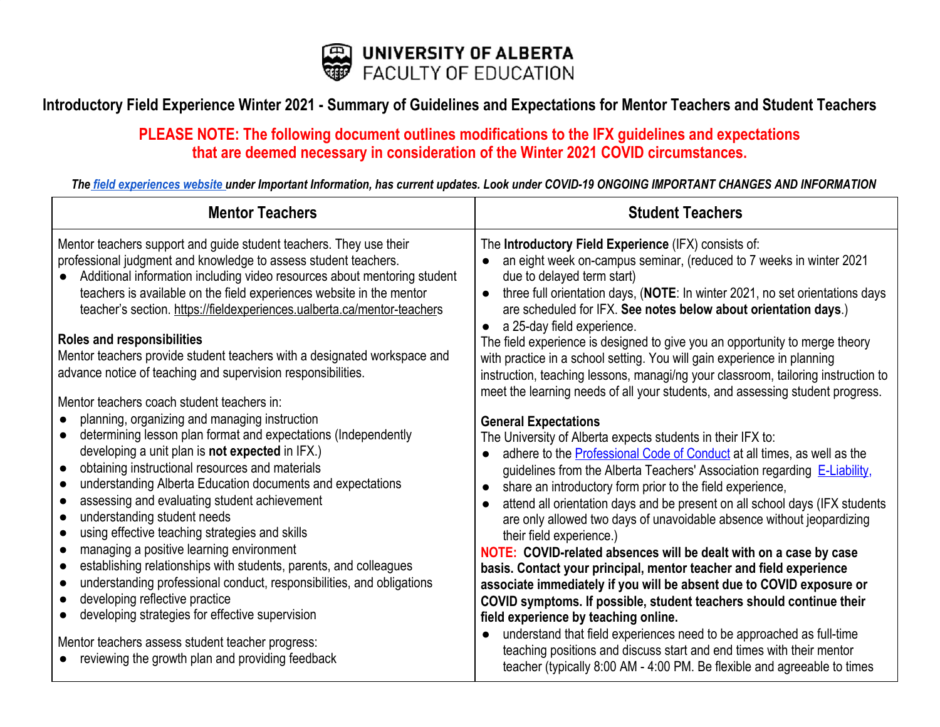

## Introductory Field Experience Winter 2021 - Summary of Guidelines and Expectations for Mentor Teachers and Student Teachers

## **PLEASE NOTE: The following document outlines modifications to the IFX guidelines and expectations that are deemed necessary in consideration of the Winter 2021 COVID circumstances.**

The field [experiences](https://fieldexperiences.ualberta.ca/) website under Important Information, has current updates. Look under COVID-19 ONGOING IMPORTANT CHANGES AND INFORMATION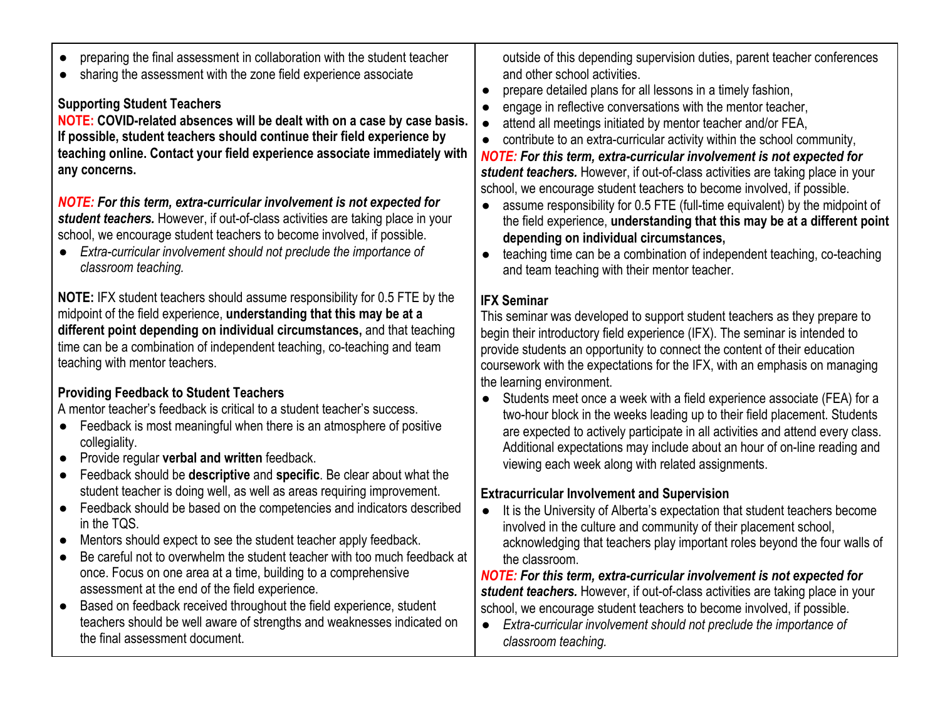- preparing the final assessment in collaboration with the student teacher
- sharing the assessment with the zone field experience associate

# **Supporting Student Teachers**

**NOTE: COVID-related absences will be dealt with on a case by case basis. If possible, student teachers should continue their field experience by teaching online. Contact your field experience associate immediately with any concerns.**

*NOTE: For this term, extra-curricular involvement is not expected for student teachers.* However, if out-of-class activities are taking place in your school, we encourage student teachers to become involved, if possible.

● *Extra-curricular involvement should not preclude the importance of classroom teaching.*

**NOTE:** IFX student teachers should assume responsibility for 0.5 FTE by the midpoint of the field experience, **understanding that this may be at a different point depending on individual circumstances,** and that teaching time can be a combination of independent teaching, co-teaching and team teaching with mentor teachers.

# **Providing Feedback to Student Teachers**

A mentor teacher's feedback is critical to a student teacher's success.

- Feedback is most meaningful when there is an atmosphere of positive collegiality.
- Provide regular **verbal and written** feedback.
- Feedback should be **descriptive** and **specific**. Be clear about what the student teacher is doing well, as well as areas requiring improvement.
- Feedback should be based on the competencies and indicators described in the TQS.
- Mentors should expect to see the student teacher apply feedback.
- Be careful not to overwhelm the student teacher with too much feedback at once. Focus on one area at a time, building to a comprehensive assessment at the end of the field experience.
- Based on feedback received throughout the field experience, student teachers should be well aware of strengths and weaknesses indicated on the final assessment document.

outside of this depending supervision duties, parent teacher conferences and other school activities.

- prepare detailed plans for all lessons in a timely fashion,
- engage in reflective conversations with the mentor teacher,
- attend all meetings initiated by mentor teacher and/or FEA,
- contribute to an extra-curricular activity within the school community,

*NOTE: For this term, extra-curricular involvement is not expected for student teachers.* However, if out-of-class activities are taking place in your school, we encourage student teachers to become involved, if possible.

- assume responsibility for 0.5 FTE (full-time equivalent) by the midpoint of the field experience, **understanding that this may be at a different point depending on individual circumstances,**
- teaching time can be a combination of independent teaching, co-teaching and team teaching with their mentor teacher.

## **IFX Seminar**

This seminar was developed to support student teachers as they prepare to begin their introductory field experience (IFX). The seminar is intended to provide students an opportunity to connect the content of their education coursework with the expectations for the IFX, with an emphasis on managing the learning environment.

● Students meet once a week with a field experience associate (FEA) for a two-hour block in the weeks leading up to their field placement. Students are expected to actively participate in all activities and attend every class. Additional expectations may include about an hour of on-line reading and viewing each week along with related assignments.

## **Extracurricular Involvement and Supervision**

● It is the University of Alberta's expectation that student teachers become involved in the culture and community of their placement school, acknowledging that teachers play important roles beyond the four walls of the classroom.

*NOTE: For this term, extra-curricular involvement is not expected for student teachers.* However, if out-of-class activities are taking place in your school, we encourage student teachers to become involved, if possible.

● *Extra-curricular involvement should not preclude the importance of classroom teaching.*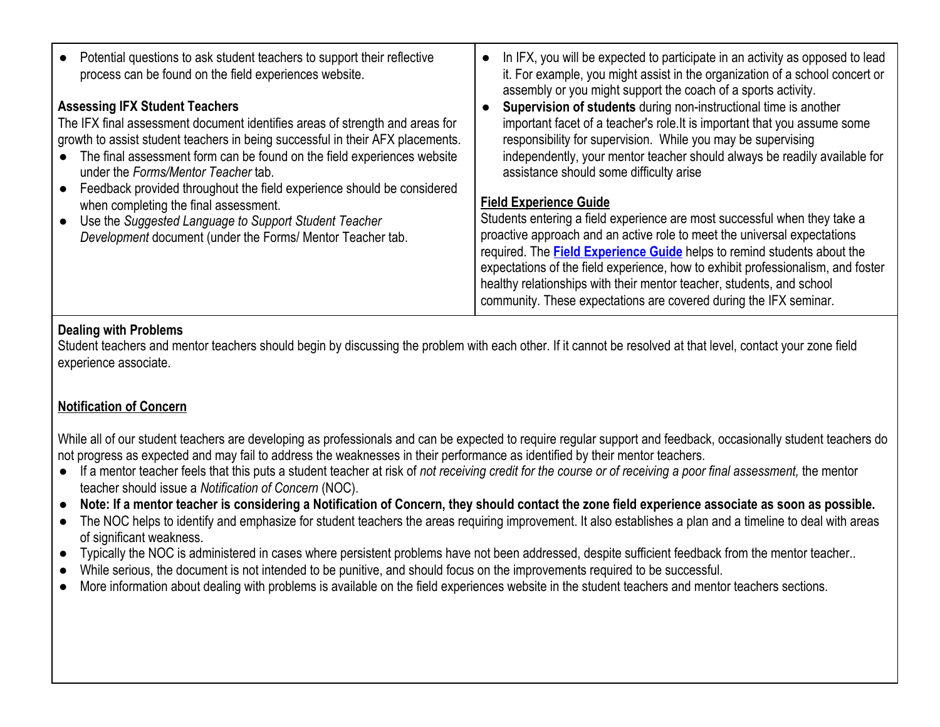| Potential questions to ask student teachers to support their reflective<br>process can be found on the field experiences website.<br><b>Assessing IFX Student Teachers</b><br>The IFX final assessment document identifies areas of strength and areas for<br>growth to assist student teachers in being successful in their AFX placements.<br>• The final assessment form can be found on the field experiences website<br>under the Forms/Mentor Teacher tab. | In IFX, you will be expected to participate in an activity as opposed to lead<br>it. For example, you might assist in the organization of a school concert or<br>assembly or you might support the coach of a sports activity.<br>Supervision of students during non-instructional time is another<br>important facet of a teacher's role. It is important that you assume some<br>responsibility for supervision. While you may be supervising<br>independently, your mentor teacher should always be readily available for<br>assistance should some difficulty arise |
|------------------------------------------------------------------------------------------------------------------------------------------------------------------------------------------------------------------------------------------------------------------------------------------------------------------------------------------------------------------------------------------------------------------------------------------------------------------|-------------------------------------------------------------------------------------------------------------------------------------------------------------------------------------------------------------------------------------------------------------------------------------------------------------------------------------------------------------------------------------------------------------------------------------------------------------------------------------------------------------------------------------------------------------------------|
| Feedback provided throughout the field experience should be considered<br>when completing the final assessment.<br>Use the Suggested Language to Support Student Teacher<br>Development document (under the Forms/ Mentor Teacher tab.                                                                                                                                                                                                                           | <b>Field Experience Guide</b><br>Students entering a field experience are most successful when they take a<br>proactive approach and an active role to meet the universal expectations<br>required. The <b>Field Experience Guide</b> helps to remind students about the<br>expectations of the field experience, how to exhibit professionalism, and foster<br>healthy relationships with their mentor teacher, students, and school<br>community. These expectations are covered during the IFX seminar.                                                              |

#### **Dealing with Problems**

Student teachers and mentor teachers should begin by discussing the problem with each other. If it cannot be resolved at that level, contact your zone field experience associate.

### **[Notification of Concern](https://fieldexperiences.ualberta.ca/mentor-teachers#notification-of-concern)**

While all of our student teachers are developing as professionals and can be expected to require regular support and feedback, occasionally student teachers do not progress as expected and may fail to address the weaknesses in their performance as identified by their mentor teachers.

- If a mentor teacher feels that this puts a student teacher at risk of *not receiving credit for the course or of receiving a poor final assessment,* the mentor teacher should issue a *Notification of Concern* (NOC).
- **Note: If a mentor teacher is considering a Notification of Concern, they should contact the zone field experience associate as soon as possible.**
- The NOC helps to identify and emphasize for student teachers the areas requiring improvement. It also establishes a plan and a timeline to deal with areas of significant weakness.
- Typically the NOC is administered in cases where persistent problems have not been addressed, despite sufficient feedback from the mentor teacher..
- While serious, the document is not intended to be punitive, and should focus on the improvements required to be successful.
- More information about dealing with problems is available on the field experiences website in the student teachers and mentor teachers sections.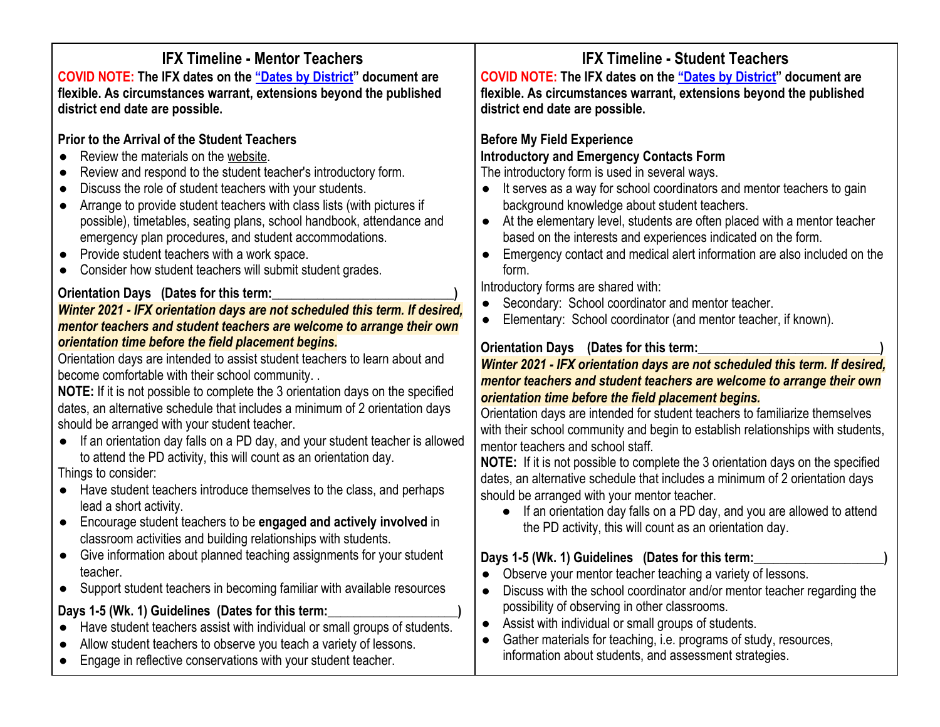# **IFX Timeline - Mentor Teachers**

**COVID NOTE: The IFX dates on the ["Dates by District"](https://fieldexperiences.ualberta.ca/sites/fieldexperiences.ualberta.ca/files/FX%20Dates%20by%20District%20F20.pdf) document are flexible. As circumstances warrant, extensions beyond the published district end date are possible.**

## **Prior to the Arrival of the Student Teachers**

- Review the materials on the [website](https://fieldexperiences.ualberta.ca/home/).
- Review and respond to the student teacher's introductory form.
- Discuss the role of student teachers with your students.
- Arrange to provide student teachers with class lists (with pictures if possible), timetables, seating plans, school handbook, attendance and emergency plan procedures, and student accommodations.
- Provide student teachers with a work space.
- Consider how student teachers will submit student grades.

#### **Orientation Days** (Dates for this term:

*Winter 2021 - IFX orientation days are not scheduled this term. If desired, mentor teachers and student teachers are welcome to arrange their own orientation time before the field placement begins.*

Orientation days are intended to assist student teachers to learn about and become comfortable with their school community. .

**NOTE:** If it is not possible to complete the 3 orientation days on the specified dates, an alternative schedule that includes a minimum of 2 orientation days should be arranged with your student teacher.

● If an orientation day falls on a PD day, and your student teacher is allowed to attend the PD activity, this will count as an orientation day.

Things to consider:

- Have student teachers introduce themselves to the class, and perhaps lead a short activity.
- Encourage student teachers to be **engaged and actively involved** in classroom activities and building relationships with students.
- Give information about planned teaching assignments for your student teacher.
- Support student teachers in becoming familiar with available resources

### Days 1-5 (Wk. 1) Guidelines (Dates for this term:

- Have student teachers assist with individual or small groups of students.
- Allow student teachers to observe you teach a variety of lessons.
- Engage in reflective conservations with your student teacher.

# **IFX Timeline - Student Teachers**

**COVID NOTE: The IFX dates on the ["Dates by District"](https://fieldexperiences.ualberta.ca/sites/fieldexperiences.ualberta.ca/files/FX%20Dates%20by%20District%20F20.pdf) document are flexible. As circumstances warrant, extensions beyond the published district end date are possible.**

#### **Before My Field Experience Introductory and Emergency Contacts Form**

The introductory form is used in several ways.

- It serves as a way for school coordinators and mentor teachers to gain background knowledge about student teachers.
- At the elementary level, students are often placed with a mentor teacher based on the interests and experiences indicated on the form.
- Emergency contact and medical alert information are also included on the form.

Introductory forms are shared with:

- Secondary: School coordinator and mentor teacher.
- Elementary: School coordinator (and mentor teacher, if known).

### **Orientation Days** (Dates for this term:

#### *Winter 2021 - IFX orientation days are not scheduled this term. If desired, mentor teachers and student teachers are welcome to arrange their own orientation time before the field placement begins.*

Orientation days are intended for student teachers to familiarize themselves with their school community and begin to establish relationships with students, mentor teachers and school staff.

**NOTE:** If it is not possible to complete the 3 orientation days on the specified dates, an alternative schedule that includes a minimum of 2 orientation days should be arranged with your mentor teacher.

● If an orientation day falls on a PD day, and you are allowed to attend the PD activity, this will count as an orientation day.

# Days 1-5 (Wk. 1) Guidelines (Dates for this term:

- Observe your mentor teacher teaching a variety of lessons.
- Discuss with the school coordinator and/or mentor teacher regarding the possibility of observing in other classrooms.
- Assist with individual or small groups of students.
- Gather materials for teaching, i.e. programs of study, resources, information about students, and assessment strategies.